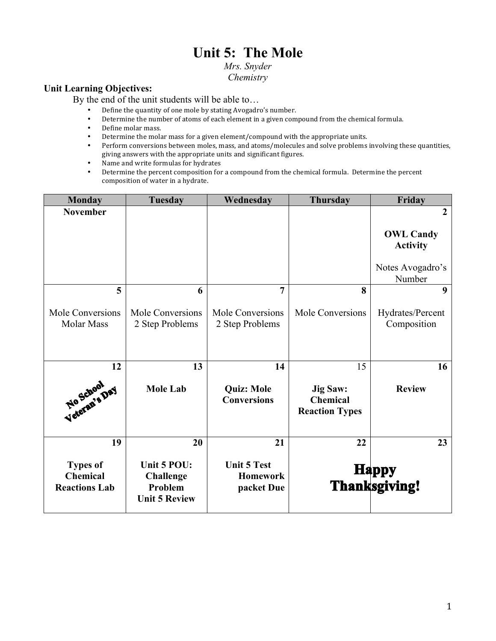# **Unit 5: The Mole**

## *Mrs. Snyder Chemistry*

# **Unit Learning Objectives:**

By the end of the unit students will be able to…

- Define the quantity of one mole by stating Avogadro's number.
- Determine the number of atoms of each element in a given compound from the chemical formula.<br>• Define molar mass.
- Define molar mass.<br>• Determine the mola
- Determine the molar mass for a given element/compound with the appropriate units.
- Perform conversions between moles, mass, and atoms/molecules and solve problems involving these quantities, giving answers with the appropriate units and significant figures.
- Name and write formulas for hydrates<br>• Determine the percent composition for
- Determine the percent composition for a compound from the chemical formula. Determine the percent composition of water in a hydrate.

| <b>Monday</b>                                              | <b>Tuesday</b>                                                     | Wednesday                                           | <b>Thursday</b>                                             | Friday                               |
|------------------------------------------------------------|--------------------------------------------------------------------|-----------------------------------------------------|-------------------------------------------------------------|--------------------------------------|
| <b>November</b>                                            |                                                                    |                                                     |                                                             | $\overline{2}$                       |
|                                                            |                                                                    |                                                     |                                                             | <b>OWL Candy</b><br><b>Activity</b>  |
|                                                            |                                                                    |                                                     |                                                             | Notes Avogadro's<br>Number           |
| 5                                                          | 6                                                                  | 7                                                   | 8                                                           | 9                                    |
| Mole Conversions<br><b>Molar Mass</b>                      | Mole Conversions<br>2 Step Problems                                | Mole Conversions<br>2 Step Problems                 | Mole Conversions                                            | Hydrates/Percent<br>Composition      |
| 12                                                         | 13                                                                 | 14                                                  | 15                                                          | 16                                   |
| Neteran's Day                                              | <b>Mole Lab</b>                                                    | <b>Quiz: Mole</b><br><b>Conversions</b>             | <b>Jig Saw:</b><br><b>Chemical</b><br><b>Reaction Types</b> | <b>Review</b>                        |
| 19                                                         | 20                                                                 | 21                                                  | 22                                                          | 23                                   |
| <b>Types of</b><br><b>Chemical</b><br><b>Reactions Lab</b> | Unit 5 POU:<br><b>Challenge</b><br>Problem<br><b>Unit 5 Review</b> | <b>Unit 5 Test</b><br><b>Homework</b><br>packet Due |                                                             | <b>Happy</b><br><b>Thanksgiving!</b> |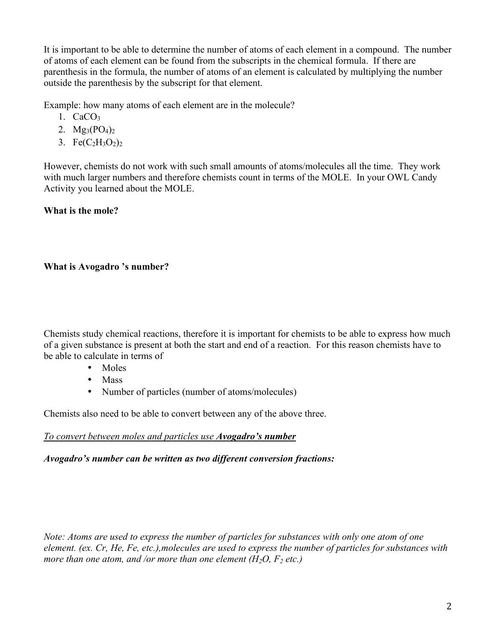It is important to be able to determine the number of atoms of each element in a compound. The number of atoms of each element can be found from the subscripts in the chemical formula. If there are parenthesis in the formula, the number of atoms of an element is calculated by multiplying the number outside the parenthesis by the subscript for that element.

Example: how many atoms of each element are in the molecule?

- 1.  $CaCO<sub>3</sub>$
- 2.  $Mg_3(PO_4)_2$
- 3. Fe $(C_2H_3O_2)_2$

However, chemists do not work with such small amounts of atoms/molecules all the time. They work with much larger numbers and therefore chemists count in terms of the MOLE. In your OWL Candy Activity you learned about the MOLE.

# **What is the mole?**

# **What is Avogadro 's number?**

Chemists study chemical reactions, therefore it is important for chemists to be able to express how much of a given substance is present at both the start and end of a reaction. For this reason chemists have to be able to calculate in terms of

- Moles
- Mass
- Number of particles (number of atoms/molecules)

Chemists also need to be able to convert between any of the above three.

## *To convert between moles and particles use Avogadro's number*

*Avogadro's number can be written as two different conversion fractions:*

*Note: Atoms are used to express the number of particles for substances with only one atom of one element. (ex. Cr, He, Fe, etc.),molecules are used to express the number of particles for substances with more than one atom, and /or more than one element*  $(H_2O, F_2$  *etc.)*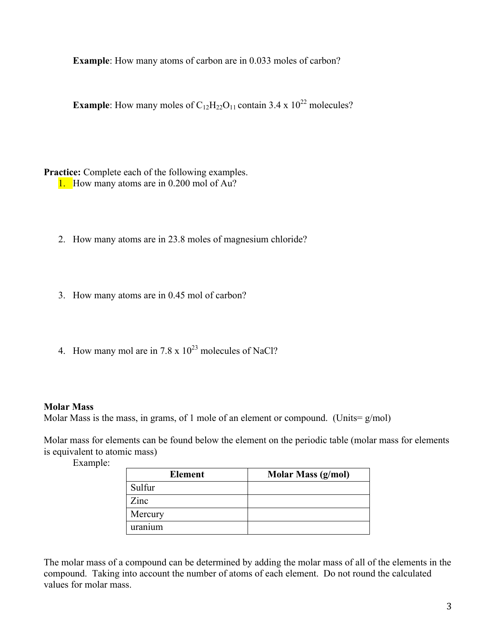**Example**: How many atoms of carbon are in 0.033 moles of carbon?

**Example**: How many moles of  $C_{12}H_{22}O_{11}$  contain 3.4 x  $10^{22}$  molecules?

**Practice:** Complete each of the following examples. 1. How many atoms are in 0.200 mol of Au?

- 2. How many atoms are in 23.8 moles of magnesium chloride?
- 3. How many atoms are in 0.45 mol of carbon?
- 4. How many mol are in  $7.8 \times 10^{23}$  molecules of NaCl?

## **Molar Mass**

Molar Mass is the mass, in grams, of 1 mole of an element or compound. (Units= g/mol)

Molar mass for elements can be found below the element on the periodic table (molar mass for elements is equivalent to atomic mass)

Example:

| <b>Element</b> | <b>Molar Mass (g/mol)</b> |
|----------------|---------------------------|
| Sulfur         |                           |
| Zinc           |                           |
| Mercury        |                           |
| uranium        |                           |

The molar mass of a compound can be determined by adding the molar mass of all of the elements in the compound. Taking into account the number of atoms of each element. Do not round the calculated values for molar mass.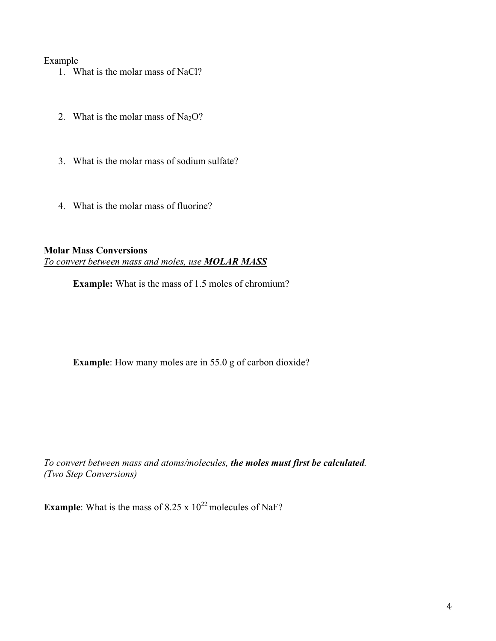#### Example

- 1. What is the molar mass of NaCl?
- 2. What is the molar mass of  $Na<sub>2</sub>O$ ?
- 3. What is the molar mass of sodium sulfate?
- 4. What is the molar mass of fluorine?

#### **Molar Mass Conversions**

*To convert between mass and moles, use MOLAR MASS*

**Example:** What is the mass of 1.5 moles of chromium?

**Example**: How many moles are in 55.0 g of carbon dioxide?

*To convert between mass and atoms/molecules, the moles must first be calculated. (Two Step Conversions)*

**Example**: What is the mass of 8.25 x  $10^{22}$  molecules of NaF?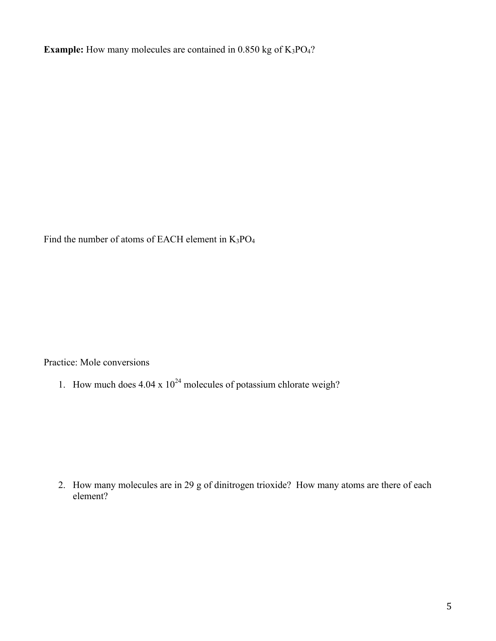**Example:** How many molecules are contained in 0.850 kg of K<sub>3</sub>PO<sub>4</sub>?

Find the number of atoms of EACH element in  $K_3PO_4$ 

Practice: Mole conversions

1. How much does  $4.04 \times 10^{24}$  molecules of potassium chlorate weigh?

2. How many molecules are in 29 g of dinitrogen trioxide? How many atoms are there of each element?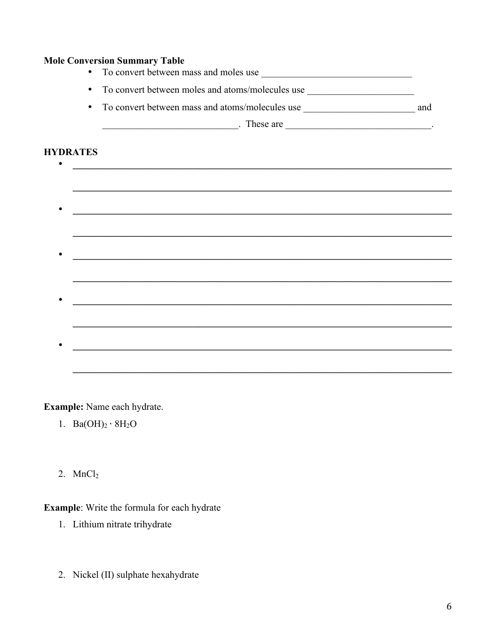|                 | <b>Mole Conversion Summary Table</b>                                                                                                                                                                                                                                                           |  |
|-----------------|------------------------------------------------------------------------------------------------------------------------------------------------------------------------------------------------------------------------------------------------------------------------------------------------|--|
|                 | To convert between moles and atoms/molecules use _______________________________<br>$\bullet$                                                                                                                                                                                                  |  |
|                 | $\bullet$                                                                                                                                                                                                                                                                                      |  |
|                 | $R_{\text{2}}$ are $\frac{1}{2}$ are $\frac{1}{2}$ are $\frac{1}{2}$ are $\frac{1}{2}$ are $\frac{1}{2}$ are $\frac{1}{2}$ are $\frac{1}{2}$ are $\frac{1}{2}$ are $\frac{1}{2}$ are $\frac{1}{2}$ are $\frac{1}{2}$ are $\frac{1}{2}$ are $\frac{1}{2}$ are $\frac{1}{2}$ are $\frac{1}{2}$ a |  |
| <b>HYDRATES</b> |                                                                                                                                                                                                                                                                                                |  |
|                 |                                                                                                                                                                                                                                                                                                |  |
|                 |                                                                                                                                                                                                                                                                                                |  |
|                 |                                                                                                                                                                                                                                                                                                |  |
|                 |                                                                                                                                                                                                                                                                                                |  |
|                 |                                                                                                                                                                                                                                                                                                |  |
|                 |                                                                                                                                                                                                                                                                                                |  |
|                 |                                                                                                                                                                                                                                                                                                |  |
|                 |                                                                                                                                                                                                                                                                                                |  |
|                 |                                                                                                                                                                                                                                                                                                |  |

Example: Name each hydrate.

- 1.  $Ba(OH)_2 \cdot 8H_2O$
- 2.  $MnCl<sub>2</sub>$

Example: Write the formula for each hydrate

- 1. Lithium nitrate trihydrate
- 2. Nickel (II) sulphate hexahydrate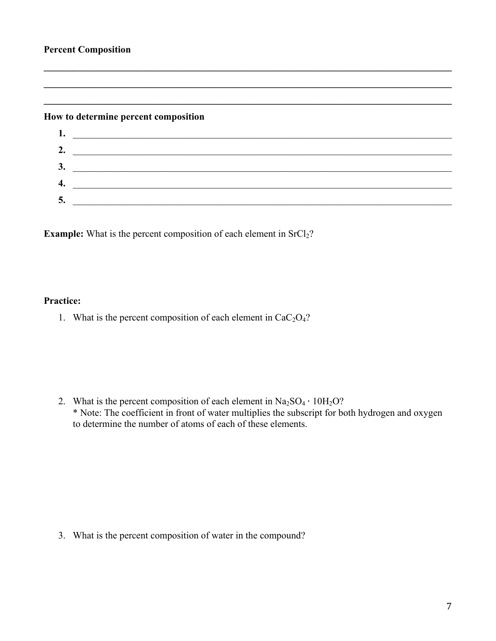#### **Percent Composition**

#### **How to determine percent composition**

| ı. |  |
|----|--|
| 2. |  |
| 3. |  |
| 4. |  |
| 5. |  |
|    |  |

 $\mathcal{L}_\mathcal{L} = \mathcal{L}_\mathcal{L} = \mathcal{L}_\mathcal{L} = \mathcal{L}_\mathcal{L} = \mathcal{L}_\mathcal{L} = \mathcal{L}_\mathcal{L} = \mathcal{L}_\mathcal{L} = \mathcal{L}_\mathcal{L} = \mathcal{L}_\mathcal{L} = \mathcal{L}_\mathcal{L} = \mathcal{L}_\mathcal{L} = \mathcal{L}_\mathcal{L} = \mathcal{L}_\mathcal{L} = \mathcal{L}_\mathcal{L} = \mathcal{L}_\mathcal{L} = \mathcal{L}_\mathcal{L} = \mathcal{L}_\mathcal{L}$ 

 $\mathcal{L}_\mathcal{L} = \{ \mathcal{L}_\mathcal{L} = \{ \mathcal{L}_\mathcal{L} = \{ \mathcal{L}_\mathcal{L} = \{ \mathcal{L}_\mathcal{L} = \{ \mathcal{L}_\mathcal{L} = \{ \mathcal{L}_\mathcal{L} = \{ \mathcal{L}_\mathcal{L} = \{ \mathcal{L}_\mathcal{L} = \{ \mathcal{L}_\mathcal{L} = \{ \mathcal{L}_\mathcal{L} = \{ \mathcal{L}_\mathcal{L} = \{ \mathcal{L}_\mathcal{L} = \{ \mathcal{L}_\mathcal{L} = \{ \mathcal{L}_\mathcal{$ 

 $\mathcal{L}_\mathcal{L} = \mathcal{L}_\mathcal{L} = \mathcal{L}_\mathcal{L} = \mathcal{L}_\mathcal{L} = \mathcal{L}_\mathcal{L} = \mathcal{L}_\mathcal{L} = \mathcal{L}_\mathcal{L} = \mathcal{L}_\mathcal{L} = \mathcal{L}_\mathcal{L} = \mathcal{L}_\mathcal{L} = \mathcal{L}_\mathcal{L} = \mathcal{L}_\mathcal{L} = \mathcal{L}_\mathcal{L} = \mathcal{L}_\mathcal{L} = \mathcal{L}_\mathcal{L} = \mathcal{L}_\mathcal{L} = \mathcal{L}_\mathcal{L}$ 

**Example:** What is the percent composition of each element in SrCl<sub>2</sub>?

#### **Practice:**

1. What is the percent composition of each element in  $CaC<sub>2</sub>O<sub>4</sub>$ ?

2. What is the percent composition of each element in Na<sub>2</sub>SO<sub>4</sub> ⋅ 10H<sub>2</sub>O? \* Note: The coefficient in front of water multiplies the subscript for both hydrogen and oxygen to determine the number of atoms of each of these elements.

3. What is the percent composition of water in the compound?